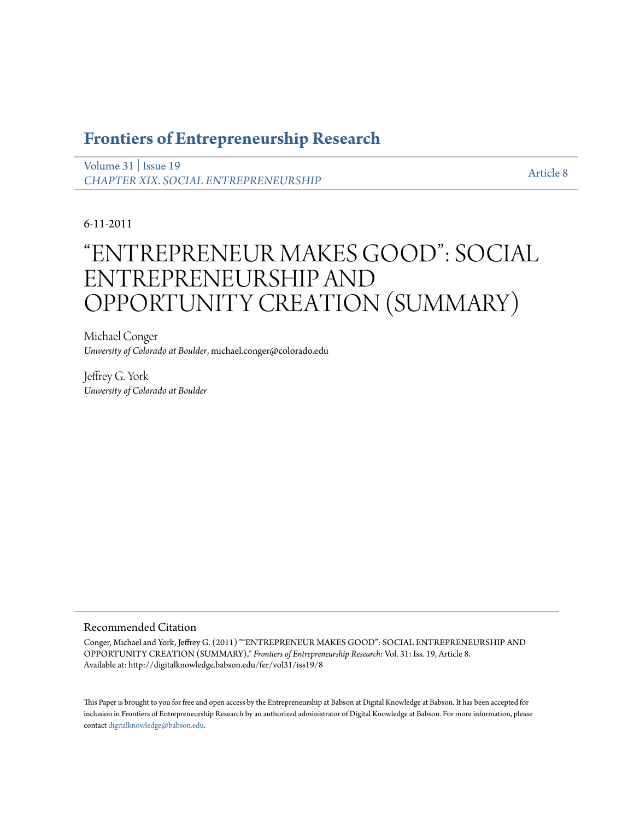## **[Frontiers of Entrepreneurship Research](http://digitalknowledge.babson.edu/fer)**

[Volume 31](http://digitalknowledge.babson.edu/fer/vol31) | [Issue 19](http://digitalknowledge.babson.edu/fer/vol31/iss19) *[CHAPTER XIX. SOCIAL ENTREPRENEURSHIP](http://digitalknowledge.babson.edu/fer/vol31/iss19)*

[Article 8](http://digitalknowledge.babson.edu/fer/vol31/iss19/8)

6-11-2011

# "ENTREPRENEUR MAKES GOOD": SOCIAL ENTREPRENEURSHIP AND OPPORTUNITY CREATION (SUMMARY)

Michael Conger *University of Colorado at Boulder*, michael.conger@colorado.edu

Jeffrey G. York *University of Colorado at Boulder*

#### Recommended Citation

Conger, Michael and York, Jeffrey G. (2011) ""ENTREPRENEUR MAKES GOOD": SOCIAL ENTREPRENEURSHIP AND OPPORTUNITY CREATION (SUMMARY)," *Frontiers of Entrepreneurship Research*: Vol. 31: Iss. 19, Article 8. Available at: http://digitalknowledge.babson.edu/fer/vol31/iss19/8

This Paper is brought to you for free and open access by the Entrepreneurship at Babson at Digital Knowledge at Babson. It has been accepted for inclusion in Frontiers of Entrepreneurship Research by an authorized administrator of Digital Knowledge at Babson. For more information, please contact [digitalknowledge@babson.edu](mailto:digitalknowledge@babson.edu).